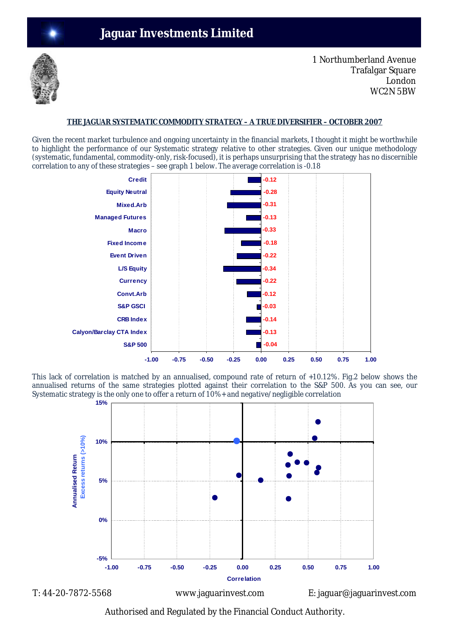

1 Northumberland Avenue Trafalgar Square London WC2N 5BW

## **THE JAGUAR SYSTEMATIC COMMODITY STRATEGY – A TRUE DIVERSIFIER – OCTOBER 2007**

Given the recent market turbulence and ongoing uncertainty in the financial markets, I thought it might be worthwhile to highlight the performance of our Systematic strategy relative to other strategies. Given our unique methodology (systematic, fundamental, commodity-only, risk-focused), it is perhaps unsurprising that the strategy has no discernible correlation to any of these strategies – see graph 1 below. The average correlation is -0.18



This lack of correlation is matched by an annualised, compound rate of return of +10.12%. Fig.2 below shows the annualised returns of the same strategies plotted against their correlation to the S&P 500. As you can see, our Systematic strategy is the only one to offer a return of 10%+ and negative/negligible correlation



Authorised and Regulated by the Financial Conduct Authority.